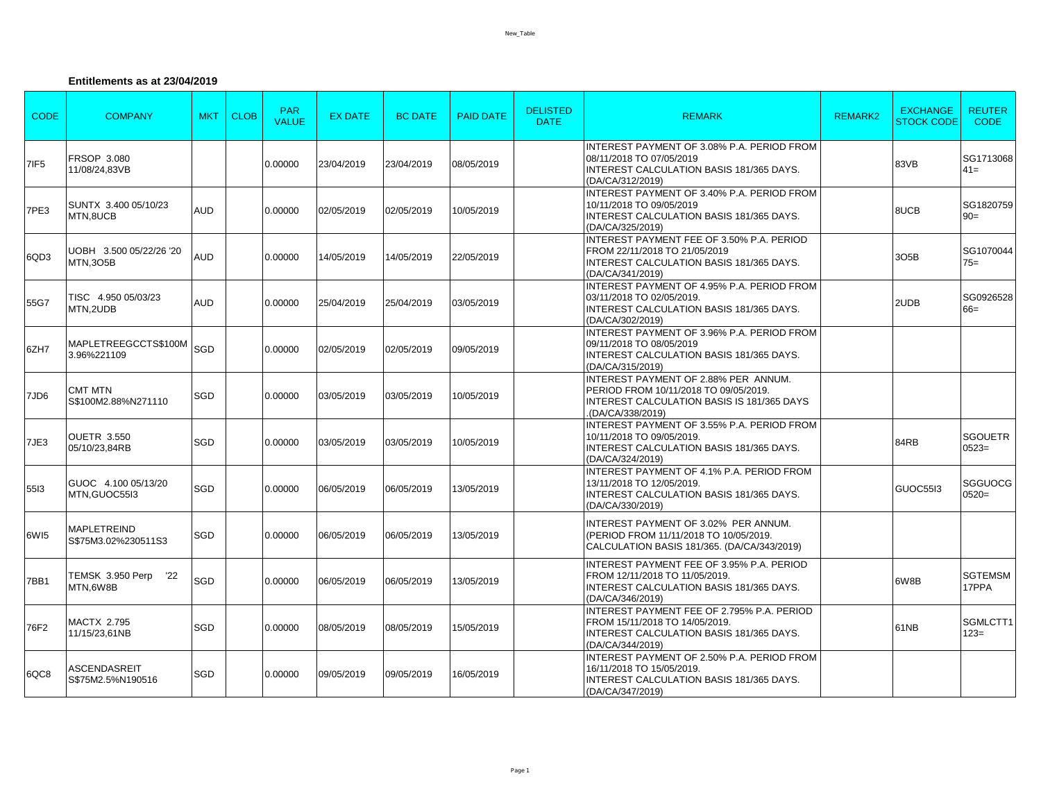## **Entitlements as at 23/04/2019**

| <b>CODE</b>      | <b>COMPANY</b>                             | <b>MKT</b> | <b>CLOB</b> | <b>PAR</b><br><b>VALUE</b> | <b>EX DATE</b> | <b>BC DATE</b> | <b>PAID DATE</b> | <b>DELISTED</b><br><b>DATE</b> | <b>REMARK</b>                                                                                                                                          | <b>REMARK2</b> | <b>EXCHANGE</b><br><b>STOCK CODE</b> | <b>REUTER</b><br><b>CODE</b> |
|------------------|--------------------------------------------|------------|-------------|----------------------------|----------------|----------------|------------------|--------------------------------|--------------------------------------------------------------------------------------------------------------------------------------------------------|----------------|--------------------------------------|------------------------------|
| 7IF <sub>5</sub> | FRSOP 3.080<br>11/08/24,83VB               |            |             | 0.00000                    | 23/04/2019     | 23/04/2019     | 08/05/2019       |                                | INTEREST PAYMENT OF 3.08% P.A. PERIOD FROM<br>08/11/2018 TO 07/05/2019<br>INTEREST CALCULATION BASIS 181/365 DAYS.<br>(DA/CA/312/2019)                 |                | 83VB                                 | SG1713068<br>$41 =$          |
| 7PE3             | SUNTX 3.400 05/10/23<br>MTN,8UCB           | AUD        |             | 0.00000                    | 02/05/2019     | 02/05/2019     | 10/05/2019       |                                | INTEREST PAYMENT OF 3.40% P.A. PERIOD FROM<br>10/11/2018 TO 09/05/2019<br><b>INTEREST CALCULATION BASIS 181/365 DAYS.</b><br>(DA/CA/325/2019)          |                | 8UCB                                 | SG1820759<br>$90=$           |
| 6QD3             | UOBH 3.500 05/22/26 '20<br><b>MTN,3O5B</b> | <b>AUD</b> |             | 0.00000                    | 14/05/2019     | 14/05/2019     | 22/05/2019       |                                | INTEREST PAYMENT FEE OF 3.50% P.A. PERIOD<br>FROM 22/11/2018 TO 21/05/2019<br>INTEREST CALCULATION BASIS 181/365 DAYS.<br>(DA/CA/341/2019)             |                | 305B                                 | SG1070044<br>$75=$           |
| 55G7             | TISC 4.950 05/03/23<br>MTN,2UDB            | AUD        |             | 0.00000                    | 25/04/2019     | 25/04/2019     | 03/05/2019       |                                | INTEREST PAYMENT OF 4.95% P.A. PERIOD FROM<br>03/11/2018 TO 02/05/2019.<br><b>INTEREST CALCULATION BASIS 181/365 DAYS.</b><br>(DA/CA/302/2019)         |                | 2UDB                                 | SG0926528<br>$66 =$          |
| 6ZH7             | MAPLETREEGCCTS\$100M<br>3.96%221109        | SGD        |             | 0.00000                    | 02/05/2019     | 02/05/2019     | 09/05/2019       |                                | INTEREST PAYMENT OF 3.96% P.A. PERIOD FROM<br>09/11/2018 TO 08/05/2019<br><b>INTEREST CALCULATION BASIS 181/365 DAYS.</b><br>(DA/CA/315/2019)          |                |                                      |                              |
| 7JD6             | <b>CMT MTN</b><br>S\$100M2.88%N271110      | SGD        |             | 0.00000                    | 03/05/2019     | 03/05/2019     | 10/05/2019       |                                | INTEREST PAYMENT OF 2.88% PER ANNUM.<br>PERIOD FROM 10/11/2018 TO 09/05/2019.<br><b>INTEREST CALCULATION BASIS IS 181/365 DAYS</b><br>(DA/CA/338/2019) |                |                                      |                              |
| 7JE3             | <b>OUETR 3.550</b><br>05/10/23,84RB        | <b>SGD</b> |             | 0.00000                    | 03/05/2019     | 03/05/2019     | 10/05/2019       |                                | INTEREST PAYMENT OF 3.55% P.A. PERIOD FROM<br>10/11/2018 TO 09/05/2019.<br>INTEREST CALCULATION BASIS 181/365 DAYS.<br>(DA/CA/324/2019)                |                | 84RB                                 | SGOUETR<br>$0523=$           |
| 5513             | GUOC 4.100 05/13/20<br>MTN.GUOC55I3        | SGD        |             | 0.00000                    | 06/05/2019     | 06/05/2019     | 13/05/2019       |                                | INTEREST PAYMENT OF 4.1% P.A. PERIOD FROM<br>13/11/2018 TO 12/05/2019.<br><b>INTEREST CALCULATION BASIS 181/365 DAYS.</b><br>(DA/CA/330/2019)          |                | GUOC5513                             | <b>SGGUOCG</b><br>$0520=$    |
| 6WI5             | MAPLETREIND<br>S\$75M3.02%230511S3         | SGD        |             | 0.00000                    | 06/05/2019     | 06/05/2019     | 13/05/2019       |                                | INTEREST PAYMENT OF 3.02% PER ANNUM.<br>(PERIOD FROM 11/11/2018 TO 10/05/2019.<br>CALCULATION BASIS 181/365. (DA/CA/343/2019)                          |                |                                      |                              |
| 7BB1             | TEMSK 3.950 Perp<br>'22<br>MTN.6W8B        | SGD        |             | 0.00000                    | 06/05/2019     | 06/05/2019     | 13/05/2019       |                                | <b>INTEREST PAYMENT FEE OF 3.95% P.A. PERIOD</b><br>FROM 12/11/2018 TO 11/05/2019.<br>INTEREST CALCULATION BASIS 181/365 DAYS.<br>(DA/CA/346/2019)     |                | 6W8B                                 | <b>SGTEMSM</b><br>17PPA      |
| 76F2             | <b>MACTX 2.795</b><br>11/15/23,61NB        | SGD        |             | 0.00000                    | 08/05/2019     | 08/05/2019     | 15/05/2019       |                                | INTEREST PAYMENT FEE OF 2.795% P.A. PERIOD<br>FROM 15/11/2018 TO 14/05/2019.<br><b>INTEREST CALCULATION BASIS 181/365 DAYS.</b><br>(DA/CA/344/2019)    |                | 61NB                                 | SGMLCTT1<br>$123=$           |
| 6QC8             | ASCENDASREIT<br>S\$75M2.5%N190516          | SGD        |             | 0.00000                    | 09/05/2019     | 09/05/2019     | 16/05/2019       |                                | INTEREST PAYMENT OF 2.50% P.A. PERIOD FROM<br>16/11/2018 TO 15/05/2019.<br>INTEREST CALCULATION BASIS 181/365 DAYS.<br>(DA/CA/347/2019)                |                |                                      |                              |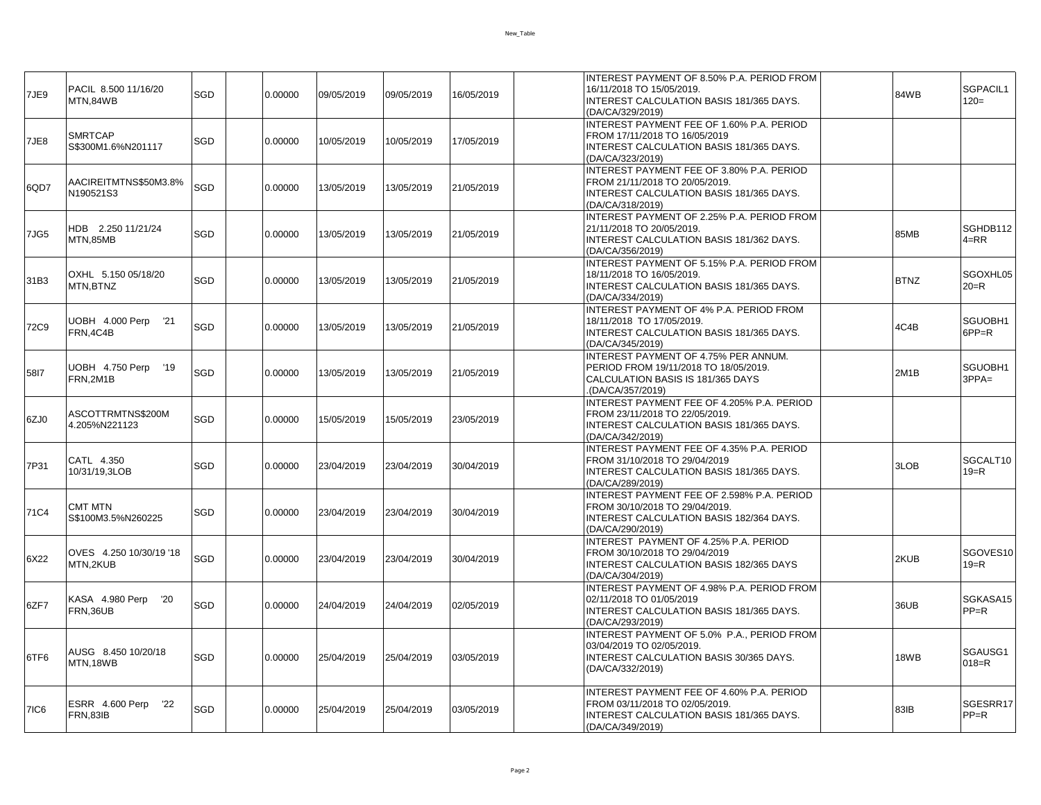| 7JE9 | PACIL 8.500 11/16/20<br>MTN,84WB         | SGD | 0.00000 | 09/05/2019 | 09/05/2019 | 16/05/2019 | INTEREST PAYMENT OF 8.50% P.A. PERIOD FROM<br>16/11/2018 TO 15/05/2019.<br>INTEREST CALCULATION BASIS 181/365 DAYS.<br>(DA/CA/329/2019)      | 84WB        | SGPACIL1<br>$120=$   |
|------|------------------------------------------|-----|---------|------------|------------|------------|----------------------------------------------------------------------------------------------------------------------------------------------|-------------|----------------------|
| 7JE8 | <b>SMRTCAP</b><br>S\$300M1.6%N201117     | SGD | 0.00000 | 10/05/2019 | 10/05/2019 | 17/05/2019 | INTEREST PAYMENT FEE OF 1.60% P.A. PERIOD<br>FROM 17/11/2018 TO 16/05/2019<br>INTEREST CALCULATION BASIS 181/365 DAYS.<br>(DA/CA/323/2019)   |             |                      |
| 6QD7 | AACIREITMTNS\$50M3.8%<br>N190521S3       | SGD | 0.00000 | 13/05/2019 | 13/05/2019 | 21/05/2019 | INTEREST PAYMENT FEE OF 3.80% P.A. PERIOD<br>FROM 21/11/2018 TO 20/05/2019.<br>INTEREST CALCULATION BASIS 181/365 DAYS.<br>(DA/CA/318/2019)  |             |                      |
| 7JG5 | HDB 2.250 11/21/24<br>MTN.85MB           | SGD | 0.00000 | 13/05/2019 | 13/05/2019 | 21/05/2019 | INTEREST PAYMENT OF 2.25% P.A. PERIOD FROM<br>21/11/2018 TO 20/05/2019.<br>INTEREST CALCULATION BASIS 181/362 DAYS.<br>(DA/CA/356/2019)      | 85MB        | SGHDB112<br>$4 = RR$ |
| 31B3 | OXHL 5.150 05/18/20<br>MTN.BTNZ          | SGD | 0.00000 | 13/05/2019 | 13/05/2019 | 21/05/2019 | INTEREST PAYMENT OF 5.15% P.A. PERIOD FROM<br>18/11/2018 TO 16/05/2019.<br>INTEREST CALCULATION BASIS 181/365 DAYS.<br>(DA/CA/334/2019)      | <b>BTNZ</b> | SGOXHL05<br>$20=R$   |
| 72C9 | UOBH 4.000 Perp '21<br>FRN, 4C4B         | SGD | 0.00000 | 13/05/2019 | 13/05/2019 | 21/05/2019 | INTEREST PAYMENT OF 4% P.A. PERIOD FROM<br>18/11/2018 TO 17/05/2019.<br>INTEREST CALCULATION BASIS 181/365 DAYS.<br>(DA/CA/345/2019)         | 4C4B        | SGUOBH1<br>$6PP=R$   |
| 5817 | UOBH 4.750 Perp '19<br>FRN.2M1B          | SGD | 0.00000 | 13/05/2019 | 13/05/2019 | 21/05/2019 | INTEREST PAYMENT OF 4.75% PER ANNUM.<br>PERIOD FROM 19/11/2018 TO 18/05/2019.<br>CALCULATION BASIS IS 181/365 DAYS<br>(DA/CA/357/2019)       | 2M1B        | SGUOBH1<br>$3PPA=$   |
| 6ZJ0 | ASCOTTRMTNS\$200M<br>4.205%N221123       | SGD | 0.00000 | 15/05/2019 | 15/05/2019 | 23/05/2019 | INTEREST PAYMENT FEE OF 4.205% P.A. PERIOD<br>FROM 23/11/2018 TO 22/05/2019.<br>INTEREST CALCULATION BASIS 181/365 DAYS.<br>(DA/CA/342/2019) |             |                      |
| 7P31 | CATL 4.350<br>10/31/19,3LOB              | SGD | 0.00000 | 23/04/2019 | 23/04/2019 | 30/04/2019 | INTEREST PAYMENT FEE OF 4.35% P.A. PERIOD<br>FROM 31/10/2018 TO 29/04/2019<br>INTEREST CALCULATION BASIS 181/365 DAYS.<br>(DA/CA/289/2019)   | 3LOB        | SGCALT10<br>$19 = R$ |
| 71C4 | <b>CMT MTN</b><br>S\$100M3.5%N260225     | SGD | 0.00000 | 23/04/2019 | 23/04/2019 | 30/04/2019 | INTEREST PAYMENT FEE OF 2.598% P.A. PERIOD<br>FROM 30/10/2018 TO 29/04/2019.<br>INTEREST CALCULATION BASIS 182/364 DAYS.<br>(DA/CA/290/2019) |             |                      |
| 6X22 | OVES 4.250 10/30/19 '18<br>MTN,2KUB      | SGD | 0.00000 | 23/04/2019 | 23/04/2019 | 30/04/2019 | INTEREST PAYMENT OF 4.25% P.A. PERIOD<br>FROM 30/10/2018 TO 29/04/2019<br><b>INTEREST CALCULATION BASIS 182/365 DAYS</b><br>(DA/CA/304/2019) | 2KUB        | SGOVES10<br>$19 = R$ |
| 6ZF7 | KASA 4.980 Perp<br>'20<br>FRN,36UB       | SGD | 0.00000 | 24/04/2019 | 24/04/2019 | 02/05/2019 | INTEREST PAYMENT OF 4.98% P.A. PERIOD FROM<br>02/11/2018 TO 01/05/2019<br>INTEREST CALCULATION BASIS 181/365 DAYS.<br>(DA/CA/293/2019)       | 36UB        | SGKASA15<br>$PP=R$   |
| 6TF6 | AUSG 8.450 10/20/18<br>MTN.18WB          | SGD | 0.00000 | 25/04/2019 | 25/04/2019 | 03/05/2019 | INTEREST PAYMENT OF 5.0% P.A., PERIOD FROM<br>03/04/2019 TO 02/05/2019.<br>INTEREST CALCULATION BASIS 30/365 DAYS.<br>(DA/CA/332/2019)       | 18WB        | SGAUSG1<br>$018 = R$ |
| 7IC6 | ESRR 4.600 Perp<br>22<br><b>FRN,83IB</b> | SGD | 0.00000 | 25/04/2019 | 25/04/2019 | 03/05/2019 | INTEREST PAYMENT FEE OF 4.60% P.A. PERIOD<br>FROM 03/11/2018 TO 02/05/2019.<br>INTEREST CALCULATION BASIS 181/365 DAYS.<br>(DA/CA/349/2019)  | 83IB        | SGESRR17<br>$PP=R$   |